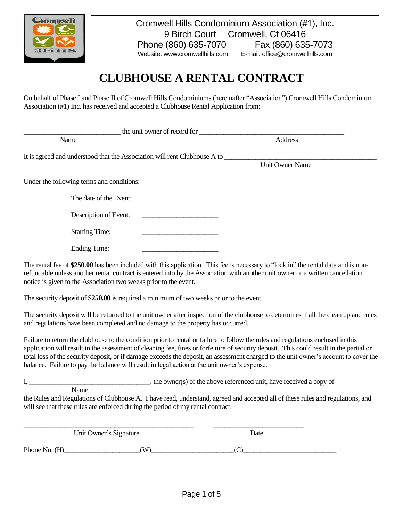

# **CLUBHOUSE A RENTAL CONTRACT**

On behalf of Phase I and Phase II of Cromwell Hills Condominiums (hereinafter "Association") Cromwell Hills Condominium Association (#1) Inc. has received and accepted a Clubhouse Rental Application from:

| the unit owner of record for                                              |                                                                                                                      |                        |
|---------------------------------------------------------------------------|----------------------------------------------------------------------------------------------------------------------|------------------------|
| Name                                                                      |                                                                                                                      | <b>Address</b>         |
| It is agreed and understood that the Association will rent Clubhouse A to |                                                                                                                      |                        |
|                                                                           |                                                                                                                      | <b>Unit Owner Name</b> |
| Under the following terms and conditions:                                 |                                                                                                                      |                        |
| The date of the Event:                                                    | <u> 1986 - Jan Stein Stein Stein Stein Stein Stein Stein Stein Stein Stein Stein Stein Stein Stein Stein Stein S</u> |                        |
| Description of Event:                                                     |                                                                                                                      |                        |
| <b>Starting Time:</b>                                                     |                                                                                                                      |                        |
| <b>Ending Time:</b>                                                       |                                                                                                                      |                        |

The rental fee of \$250.00 has been included with this application. This fee is necessary to "lock in" the rental date and is nonrefundable unless another rental contract is entered into by the Association with another unit owner or a written cancellation notice is given to the Association two weeks prior to the event.

The security deposit of **\$250.00** is required a minimum of two weeks prior to the event.

The security deposit will be returned to the unit owner after inspection of the clubhouse to determines if all the clean up and rules and regulations have been completed and no damage to the property has occurred.

Failure to return the clubhouse to the condition prior to rental or failure to follow the rules and regulations enclosed in this application will result in the assessment of cleaning fee, fines or forfeiture of security deposit. This could result in the partial or total loss of the security deposit, or if damage exceeds the deposit, an assessment charged to the unit owner's account to cover the balance. Failure to pay the balance will result in legal action at the unit owner's expense.

I, the owner(s) of the above referenced unit, have received a copy of Name

the Rules and Regulations of Clubhouse A. I have read, understand, agreed and accepted all of these rules and regulations, and will see that these rules are enforced during the period of my rental contract.

\_\_\_\_\_\_\_\_\_\_\_\_\_\_\_\_\_\_\_\_\_\_\_\_\_\_\_\_\_\_\_\_\_\_\_\_\_\_\_\_\_\_\_\_\_ \_\_\_\_\_\_\_\_\_\_\_\_\_\_\_\_\_\_\_\_\_\_\_\_ Unit Owner's Signature Date

Phone No.  $(H)$  (W)  $($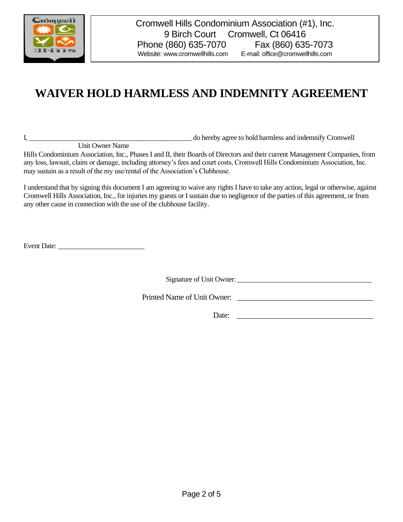

## **WAIVER HOLD HARMLESS AND INDEMNITY AGREEMENT**

Unit Owner Name

I, \_\_\_\_\_\_\_\_\_\_\_\_\_\_\_\_\_\_\_\_\_\_\_\_\_\_\_\_\_\_\_\_\_\_\_\_\_\_\_\_\_\_\_\_\_\_\_ do hereby agree to hold harmless and indemnify Cromwell

Hills Condominium Association, Inc., Phases I and II, their Boards of Directors and their current Management Companies, from any loss, lawsuit, claim or damage, including attorney's fees and court costs, Cromwell Hills Condominium Association, Inc. may sustain as a result of the my use/rental of the Association's Clubhouse.

I understand that by signing this document I am agreeing to waive any rights I have to take any action, legal or otherwise, against Cromwell Hills Association, Inc., for injuries my guests or I sustain due to negligence of the parties of this agreement, or from any other cause in connection with the use of the clubhouse facility.

Event Date:

Signature of Unit Owner: \_\_\_\_\_\_\_\_\_\_\_\_\_\_\_\_\_\_\_\_\_\_\_\_\_\_\_\_\_\_\_\_\_\_\_\_\_\_\_

Printed Name of Unit Owner:

Date: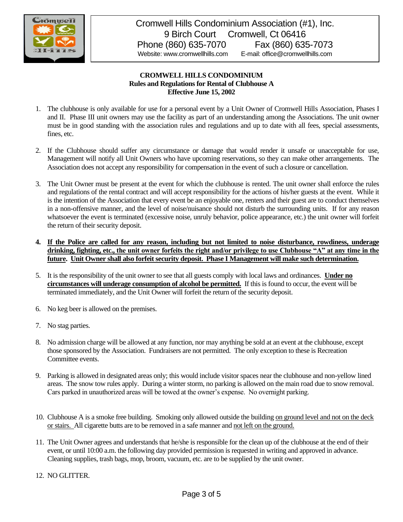

#### **CROMWELL HILLS CONDOMINIUM Rules and Regulations for Rental of Clubhouse A Effective June 15, 2002**

- 1. The clubhouse is only available for use for a personal event by a Unit Owner of Cromwell Hills Association, Phases I and II. Phase III unit owners may use the facility as part of an understanding among the Associations. The unit owner must be in good standing with the association rules and regulations and up to date with all fees, special assessments, fines, etc.
- 2. If the Clubhouse should suffer any circumstance or damage that would render it unsafe or unacceptable for use, Management will notify all Unit Owners who have upcoming reservations, so they can make other arrangements. The Association does not accept any responsibility for compensation in the event of such a closure or cancellation.
- 3. The Unit Owner must be present at the event for which the clubhouse is rented. The unit owner shall enforce the rules and regulations of the rental contract and will accept responsibility for the actions of his/her guests at the event. While it is the intention of the Association that every event be an enjoyable one, renters and their guest are to conduct themselves in a non-offensive manner, and the level of noise/nuisance should not disturb the surrounding units. If for any reason whatsoever the event is terminated (excessive noise, unruly behavior, police appearance, etc.) the unit owner will forfeit the return of their security deposit.
- **4. If the Police are called for any reason, including but not limited to noise disturbance, rowdiness, underage drinking, fighting, etc., the unit owner forfeits the right and/or privilege to use Clubhouse "A" at any time in the future. Unit Owner shall also forfeit security deposit. Phase I Management will make such determination.**
- 5. It is the responsibility of the unit owner to see that all guests comply with local laws and ordinances. **Under no circumstances will underage consumption of alcohol be permitted.** If this is found to occur, the event will be terminated immediately, and the Unit Owner will forfeit the return of the security deposit.
- 6. No keg beer is allowed on the premises.
- 7. No stag parties.
- 8. No admission charge will be allowed at any function, nor may anything be sold at an event at the clubhouse, except those sponsored by the Association. Fundraisers are not permitted. The only exception to these is Recreation Committee events.
- 9. Parking is allowed in designated areas only; this would include visitor spaces near the clubhouse and non-yellow lined areas. The snow tow rules apply. During a winter storm, no parking is allowed on the main road due to snow removal. Cars parked in unauthorized areas will be towed at the owner's expense. No overnight parking.
- 10. Clubhouse A is a smoke free building. Smoking only allowed outside the building on ground level and not on the deck or stairs. All cigarette butts are to be removed in a safe manner and not left on the ground.
- 11. The Unit Owner agrees and understands that he/she is responsible for the clean up of the clubhouse at the end of their event, or until 10:00 a.m. the following day provided permission is requested in writing and approved in advance. Cleaning supplies, trash bags, mop, broom, vacuum, etc. are to be supplied by the unit owner.
- 12. NO GLITTER.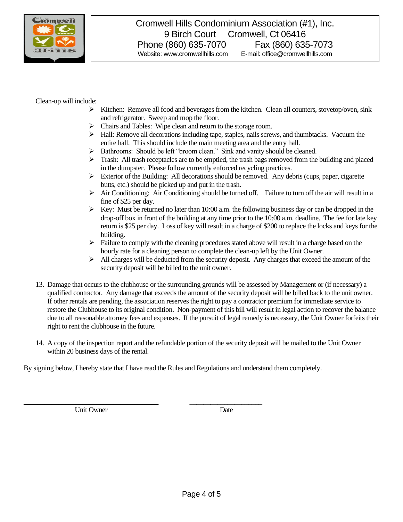

Clean-up will include:

- $\triangleright$  Kitchen: Remove all food and beverages from the kitchen. Clean all counters, stovetop/oven, sink and refrigerator. Sweep and mop the floor.
- ➢ Chairs and Tables: Wipe clean and return to the storage room.
- $\triangleright$  Hall: Remove all decorations including tape, staples, nails screws, and thumbtacks. Vacuum the entire hall. This should include the main meeting area and the entry hall.
- ➢ Bathrooms: Should be left "broom clean." Sink and vanity should be cleaned.
- $\triangleright$  Trash: All trash receptacles are to be emptied, the trash bags removed from the building and placed in the dumpster. Please follow currently enforced recycling practices.
- $\triangleright$  Exterior of the Building: All decorations should be removed. Any debris (cups, paper, cigarette butts, etc.) should be picked up and put in the trash.
- $\triangleright$  Air Conditioning: Air Conditioning should be turned off. Failure to turn off the air will result in a fine of \$25 per day.
- $\triangleright$  Key: Must be returned no later than 10:00 a.m. the following business day or can be dropped in the drop-off box in front of the building at any time prior to the 10:00 a.m. deadline. The fee for late key return is \$25 per day. Loss of key will result in a charge of \$200 to replace the locks and keys for the building.
- $\triangleright$  Failure to comply with the cleaning procedures stated above will result in a charge based on the hourly rate for a cleaning person to complete the clean-up left by the Unit Owner.
- $\triangleright$  All charges will be deducted from the security deposit. Any charges that exceed the amount of the security deposit will be billed to the unit owner.
- 13. Damage that occurs to the clubhouse or the surrounding grounds will be assessed by Management or (if necessary) a qualified contractor. Any damage that exceeds the amount of the security deposit will be billed back to the unit owner. If other rentals are pending, the association reserves the right to pay a contractor premium for immediate service to restore the Clubhouse to its original condition. Non-payment of this bill will result in legal action to recover the balance due to all reasonable attorney fees and expenses. If the pursuit of legal remedy is necessary, the Unit Owner forfeits their right to rent the clubhouse in the future.
- 14. A copy of the inspection report and the refundable portion of the security deposit will be mailed to the Unit Owner within 20 business days of the rental.

By signing below, I hereby state that I have read the Rules and Regulations and understand them completely.

\_\_\_\_\_\_\_\_\_\_\_\_\_\_\_\_\_\_\_\_\_\_\_\_\_\_\_\_\_\_\_\_\_\_\_\_\_\_\_ \_\_\_\_\_\_\_\_\_\_\_\_\_\_\_\_\_\_\_\_\_

Unit Owner Date